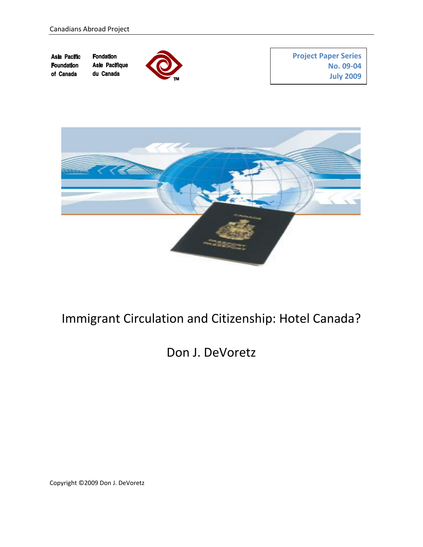**Project Paper Series Asia Pacific Fondation Asie Pacifique Foundation No. 09-04** of Canada du Canada **July 2009**



# Immigrant Circulation and Citizenship: Hotel Canada?

## Don J. DeVoretz

Copyright © 2009 Don J. DeVoretz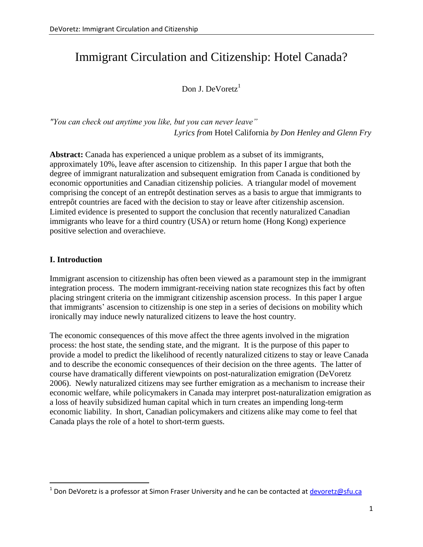## Immigrant Circulation and Citizenship: Hotel Canada?

Don J. DeVoretz $1$ 

*"You can check out anytime you like, but you can never leave" Lyrics from* Hotel California *by Don Henley and Glenn Fry*

**Abstract:** Canada has experienced a unique problem as a subset of its immigrants, approximately 10%, leave after ascension to citizenship. In this paper I argue that both the degree of immigrant naturalization and subsequent emigration from Canada is conditioned by economic opportunities and Canadian citizenship policies. A triangular model of movement comprising the concept of an entrep  $\hat{\alpha}$  destination serves as a basis to argue that immigrants to entrepôt countries are faced with the decision to stay or leave after citizenship ascension. Limited evidence is presented to support the conclusion that recently naturalized Canadian immigrants who leave for a third country (USA) or return home (Hong Kong) experience positive selection and overachieve.

#### **I. Introduction**

 $\overline{a}$ 

Immigrant ascension to citizenship has often been viewed as a paramount step in the immigrant integration process. The modern immigrant-receiving nation state recognizes this fact by often placing stringent criteria on the immigrant citizenship ascension process. In this paper I argue that immigrants" ascension to citizenship is one step in a series of decisions on mobility which ironically may induce newly naturalized citizens to leave the host country.

The economic consequences of this move affect the three agents involved in the migration process: the host state, the sending state, and the migrant. It is the purpose of this paper to provide a model to predict the likelihood of recently naturalized citizens to stay or leave Canada and to describe the economic consequences of their decision on the three agents. The latter of course have dramatically different viewpoints on post-naturalization emigration (DeVoretz 2006). Newly naturalized citizens may see further emigration as a mechanism to increase their economic welfare, while policymakers in Canada may interpret post-naturalization emigration as a loss of heavily subsidized human capital which in turn creates an impending long-term economic liability. In short, Canadian policymakers and citizens alike may come to feel that Canada plays the role of a hotel to short-term guests.

 $1$  Don DeVoretz is a professor at Simon Fraser University and he can be contacted at [devoretz@sfu.ca](mailto:devoretz@sfu.ca)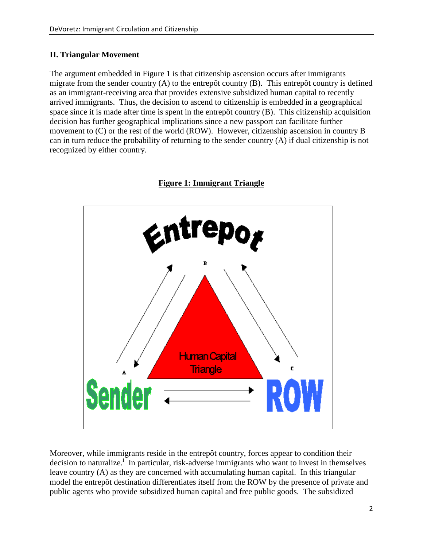## **II. Triangular Movement**

The argument embedded in Figure 1 is that citizenship ascension occurs after immigrants migrate from the sender country (A) to the entrep  $\hat{\alpha}$  country (B). This entrep  $\hat{\alpha}$  country is defined as an immigrant-receiving area that provides extensive subsidized human capital to recently arrived immigrants. Thus, the decision to ascend to citizenship is embedded in a geographical space since it is made after time is spent in the entrep  $\hat{\alpha}$  country (B). This citizenship acquisition decision has further geographical implications since a new passport can facilitate further movement to (C) or the rest of the world (ROW). However, citizenship ascension in country B can in turn reduce the probability of returning to the sender country (A) if dual citizenship is not recognized by either country.



**Figure 1: Immigrant Triangle**

Moreover, while immigrants reside in the entrep  $\hat{\alpha}$  country, forces appear to condition their decision to naturalize.<sup>1</sup> In particular, risk-adverse immigrants who want to invest in themselves leave country (A) as they are concerned with accumulating human capital. In this triangular model the entrep  $\hat{\alpha}$  destination differentiates itself from the ROW by the presence of private and public agents who provide subsidized human capital and free public goods. The subsidized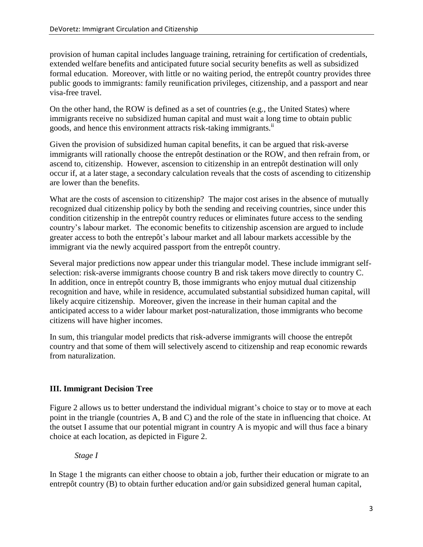provision of human capital includes language training, retraining for certification of credentials, extended welfare benefits and anticipated future social security benefits as well as subsidized formal education. Moreover, with little or no waiting period, the entrep  $\hat{\alpha}$  country provides three public goods to immigrants: family reunification privileges, citizenship, and a passport and near visa-free travel.

On the other hand, the ROW is defined as a set of countries (e.g., the United States) where immigrants receive no subsidized human capital and must wait a long time to obtain public goods, and hence this environment attracts risk-taking immigrants.<sup>ii</sup>

Given the provision of subsidized human capital benefits, it can be argued that risk-averse immigrants will rationally choose the entrep  $\hat{\alpha}$  destination or the ROW, and then refrain from, or ascend to, citizenship. However, ascension to citizenship in an entrep  $\hat{\alpha}$  destination will only occur if, at a later stage, a secondary calculation reveals that the costs of ascending to citizenship are lower than the benefits.

What are the costs of ascension to citizenship? The major cost arises in the absence of mutually recognized dual citizenship policy by both the sending and receiving countries, since under this condition citizenship in the entrep  $\hat{\alpha}$  country reduces or eliminates future access to the sending country"s labour market. The economic benefits to citizenship ascension are argued to include greater access to both the entrep  $\hat{\alpha}$ 's labour market and all labour markets accessible by the immigrant via the newly acquired passport from the entrep  $\hat{\alpha}$  country.

Several major predictions now appear under this triangular model. These include immigrant selfselection: risk-averse immigrants choose country B and risk takers move directly to country C. In addition, once in entrep  $\hat{\alpha}$  country B, those immigrants who enjoy mutual dual citizenship recognition and have, while in residence, accumulated substantial subsidized human capital, will likely acquire citizenship. Moreover, given the increase in their human capital and the anticipated access to a wider labour market post-naturalization, those immigrants who become citizens will have higher incomes.

In sum, this triangular model predicts that risk-adverse immigrants will choose the entrep  $\hat{\alpha}$ country and that some of them will selectively ascend to citizenship and reap economic rewards from naturalization.

## **III. Immigrant Decision Tree**

Figure 2 allows us to better understand the individual migrant's choice to stay or to move at each point in the triangle (countries A, B and C) and the role of the state in influencing that choice. At the outset I assume that our potential migrant in country A is myopic and will thus face a binary choice at each location, as depicted in Figure 2.

*Stage I*

In Stage 1 the migrants can either choose to obtain a job, further their education or migrate to an entrep  $\hat{\alpha}$  country (B) to obtain further education and/or gain subsidized general human capital,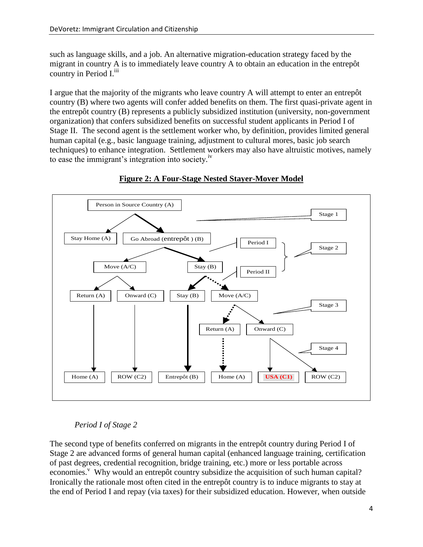such as language skills, and a job. An alternative migration-education strategy faced by the migrant in country A is to immediately leave country A to obtain an education in the entrep  $\hat{\alpha}$ country in Period I.<sup>iii</sup>

I argue that the majority of the migrants who leave country A will attempt to enter an entrep  $\hat{\alpha}$ country (B) where two agents will confer added benefits on them. The first quasi-private agent in the entrep  $\hat{\alpha}$  country (B) represents a publicly subsidized institution (university, non-government organization) that confers subsidized benefits on successful student applicants in Period I of Stage II. The second agent is the settlement worker who, by definition, provides limited general human capital (e.g., basic language training, adjustment to cultural mores, basic job search techniques) to enhance integration. Settlement workers may also have altruistic motives, namely to ease the immigrant's integration into society.<sup>iv</sup>



## **Figure 2: A Four-Stage Nested Stayer-Mover Model**

## *Period I of Stage 2*

The second type of benefits conferred on migrants in the entrep  $\hat{\alpha}$  country during Period I of Stage 2 are advanced forms of general human capital (enhanced language training, certification of past degrees, credential recognition, bridge training, etc.) more or less portable across economies.<sup>v</sup> Why would an entrep  $\hat{\alpha}$  country subsidize the acquisition of such human capital? Ironically the rationale most often cited in the entrep  $\hat{\alpha}$  country is to induce migrants to stay at the end of Period I and repay (via taxes) for their subsidized education. However, when outside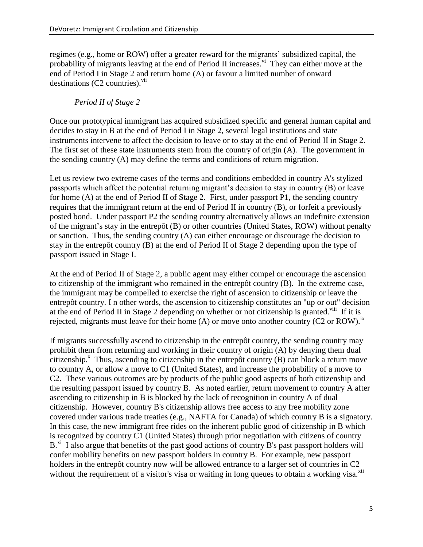regimes (e.g., home or ROW) offer a greater reward for the migrants" subsidized capital, the probability of migrants leaving at the end of Period II increases.<sup>vi</sup> They can either move at the end of Period I in Stage 2 and return home (A) or favour a limited number of onward destinations  $(C2$  countries).<sup>vii</sup>

## *Period II of Stage 2*

Once our prototypical immigrant has acquired subsidized specific and general human capital and decides to stay in B at the end of Period I in Stage 2, several legal institutions and state instruments intervene to affect the decision to leave or to stay at the end of Period II in Stage 2. The first set of these state instruments stem from the country of origin (A). The government in the sending country (A) may define the terms and conditions of return migration.

Let us review two extreme cases of the terms and conditions embedded in country A's stylized passports which affect the potential returning migrant's decision to stay in country (B) or leave for home (A) at the end of Period II of Stage 2. First, under passport P1, the sending country requires that the immigrant return at the end of Period II in country (B), or forfeit a previously posted bond. Under passport P2 the sending country alternatively allows an indefinite extension of the migrant's stay in the entrep  $\hat{\alpha}$  (B) or other countries (United States, ROW) without penalty or sanction. Thus, the sending country (A) can either encourage or discourage the decision to stay in the entrep  $\hat{\alpha}$  country (B) at the end of Period II of Stage 2 depending upon the type of passport issued in Stage I.

At the end of Period II of Stage 2, a public agent may either compel or encourage the ascension to citizenship of the immigrant who remained in the entrep  $\hat{\alpha}$  country (B). In the extreme case, the immigrant may be compelled to exercise the right of ascension to citizenship or leave the entrep  $\hat{\alpha}$  country. In other words, the ascension to citizenship constitutes an "up or out" decision at the end of Period II in Stage 2 depending on whether or not citizenship is granted.<sup>viii</sup> If it is rejected, migrants must leave for their home (A) or move onto another country (C2 or ROW).<sup>ix</sup>

If migrants successfully ascend to citizenship in the entrep  $\hat{\alpha}$  country, the sending country may prohibit them from returning and working in their country of origin (A) by denying them dual citizenship.<sup>x</sup> Thus, ascending to citizenship in the entrepôt country (B) can block a return move to country A, or allow a move to C1 (United States), and increase the probability of a move to C2. These various outcomes are by products of the public good aspects of both citizenship and the resulting passport issued by country B. As noted earlier, return movement to country A after ascending to citizenship in B is blocked by the lack of recognition in country A of dual citizenship. However, country B's citizenship allows free access to any free mobility zone covered under various trade treaties (e.g., NAFTA for Canada) of which country B is a signatory. In this case, the new immigrant free rides on the inherent public good of citizenship in B which is recognized by country C1 (United States) through prior negotiation with citizens of country B.<sup>xi</sup> I also argue that benefits of the past good actions of country B's past passport holders will confer mobility benefits on new passport holders in country B. For example, new passport holders in the entrep  $\hat{\alpha}$  country now will be allowed entrance to a larger set of countries in C2 without the requirement of a visitor's visa or waiting in long queues to obtain a working visa.<sup>xii</sup>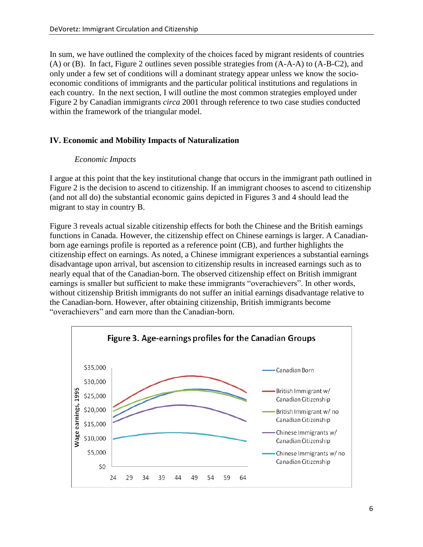In sum, we have outlined the complexity of the choices faced by migrant residents of countries (A) or (B). In fact, Figure 2 outlines seven possible strategies from (A-A-A) to (A-B-C2), and only under a few set of conditions will a dominant strategy appear unless we know the socioeconomic conditions of immigrants and the particular political institutions and regulations in each country. In the next section, I will outline the most common strategies employed under Figure 2 by Canadian immigrants *circa* 2001 through reference to two case studies conducted within the framework of the triangular model.

#### **IV. Economic and Mobility Impacts of Naturalization**

#### *Economic Impacts*

I argue at this point that the key institutional change that occurs in the immigrant path outlined in Figure 2 is the decision to ascend to citizenship. If an immigrant chooses to ascend to citizenship (and not all do) the substantial economic gains depicted in Figures 3 and 4 should lead the migrant to stay in country B.

Figure 3 reveals actual sizable citizenship effects for both the Chinese and the British earnings functions in Canada. However, the citizenship effect on Chinese earnings is larger. A Canadianborn age earnings profile is reported as a reference point (CB), and further highlights the citizenship effect on earnings. As noted, a Chinese immigrant experiences a substantial earnings disadvantage upon arrival, but ascension to citizenship results in increased earnings such as to nearly equal that of the Canadian-born. The observed citizenship effect on British immigrant earnings is smaller but sufficient to make these immigrants "overachievers". In other words, without citizenship British immigrants do not suffer an initial earnings disadvantage relative to the Canadian-born. However, after obtaining citizenship, British immigrants become "overachievers" and earn more than the Canadian-born.

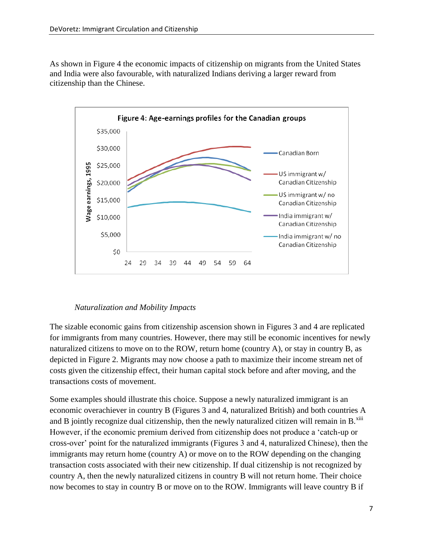As shown in Figure 4 the economic impacts of citizenship on migrants from the United States and India were also favourable, with naturalized Indians deriving a larger reward from citizenship than the Chinese.



#### *Naturalization and Mobility Impacts*

The sizable economic gains from citizenship ascension shown in Figures 3 and 4 are replicated for immigrants from many countries. However, there may still be economic incentives for newly naturalized citizens to move on to the ROW, return home (country A), or stay in country B, as depicted in Figure 2. Migrants may now choose a path to maximize their income stream net of costs given the citizenship effect, their human capital stock before and after moving, and the transactions costs of movement.

Some examples should illustrate this choice. Suppose a newly naturalized immigrant is an economic overachiever in country B (Figures 3 and 4, naturalized British) and both countries A and B jointly recognize dual citizenship, then the newly naturalized citizen will remain in  $B$ <sup>xIII</sup> However, if the economic premium derived from citizenship does not produce a "catch-up or cross-over" point for the naturalized immigrants (Figures 3 and 4, naturalized Chinese), then the immigrants may return home (country A) or move on to the ROW depending on the changing transaction costs associated with their new citizenship. If dual citizenship is not recognized by country A, then the newly naturalized citizens in country B will not return home. Their choice now becomes to stay in country B or move on to the ROW. Immigrants will leave country B if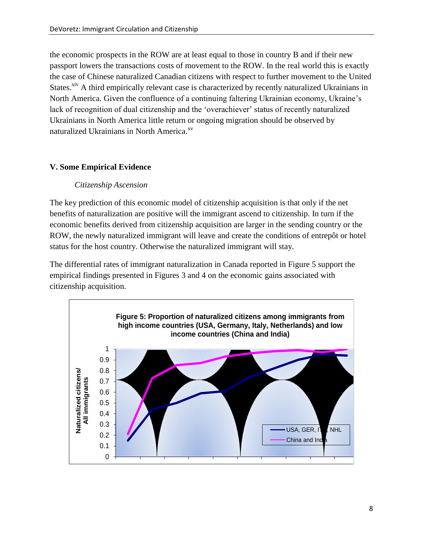the economic prospects in the ROW are at least equal to those in country B and if their new passport lowers the transactions costs of movement to the ROW. In the real world this is exactly the case of Chinese naturalized Canadian citizens with respect to further movement to the United States.<sup>xiv</sup> A third empirically relevant case is characterized by recently naturalized Ukrainians in North America. Given the confluence of a continuing faltering Ukrainian economy, Ukraine"s lack of recognition of dual citizenship and the 'overachiever' status of recently naturalized Ukrainians in North America little return or ongoing migration should be observed by naturalized Ukrainians in North America.<sup>xv</sup>

## **V. Some Empirical Evidence**

## *Citizenship Ascension*

The key prediction of this economic model of citizenship acquisition is that only if the net benefits of naturalization are positive will the immigrant ascend to citizenship. In turn if the economic benefits derived from citizenship acquisition are larger in the sending country or the ROW, the newly naturalized immigrant will leave and create the conditions of entrep  $\hat{\alpha}$  or hotel status for the host country. Otherwise the naturalized immigrant will stay.

The differential rates of immigrant naturalization in Canada reported in Figure 5 support the empirical findings presented in Figures 3 and 4 on the economic gains associated with citizenship acquisition.

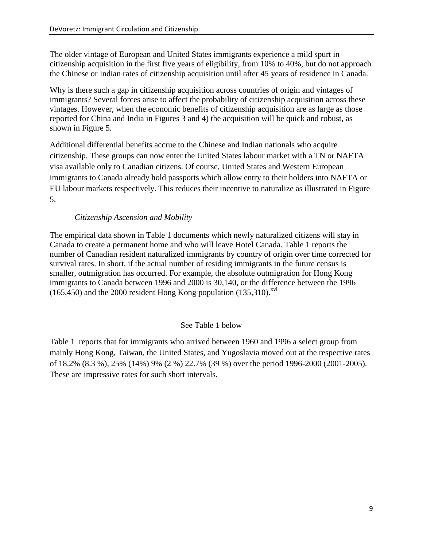The older vintage of European and United States immigrants experience a mild spurt in citizenship acquisition in the first five years of eligibility, from 10% to 40%, but do not approach the Chinese or Indian rates of citizenship acquisition until after 45 years of residence in Canada.

Why is there such a gap in citizenship acquisition across countries of origin and vintages of immigrants? Several forces arise to affect the probability of citizenship acquisition across these vintages. However, when the economic benefits of citizenship acquisition are as large as those reported for China and India in Figures 3 and 4) the acquisition will be quick and robust, as shown in Figure 5.

Additional differential benefits accrue to the Chinese and Indian nationals who acquire citizenship. These groups can now enter the United States labour market with a TN or NAFTA visa available only to Canadian citizens. Of course, United States and Western European immigrants to Canada already hold passports which allow entry to their holders into NAFTA or EU labour markets respectively. This reduces their incentive to naturalize as illustrated in Figure 5.

#### *Citizenship Ascension and Mobility*

The empirical data shown in Table 1 documents which newly naturalized citizens will stay in Canada to create a permanent home and who will leave Hotel Canada. Table 1 reports the number of Canadian resident naturalized immigrants by country of origin over time corrected for survival rates. In short, if the actual number of residing immigrants in the future census is smaller, outmigration has occurred. For example, the absolute outmigration for Hong Kong immigrants to Canada between 1996 and 2000 is 30,140, or the difference between the 1996  $(165,450)$  and the 2000 resident Hong Kong population  $(135,310)$ <sup>xvi</sup>

## See Table 1 below

Table 1 reports that for immigrants who arrived between 1960 and 1996 a select group from mainly Hong Kong, Taiwan, the United States, and Yugoslavia moved out at the respective rates of 18.2% (8.3 %), 25% (14%) 9% (2 %) 22.7% (39 %) over the period 1996-2000 (2001-2005). These are impressive rates for such short intervals.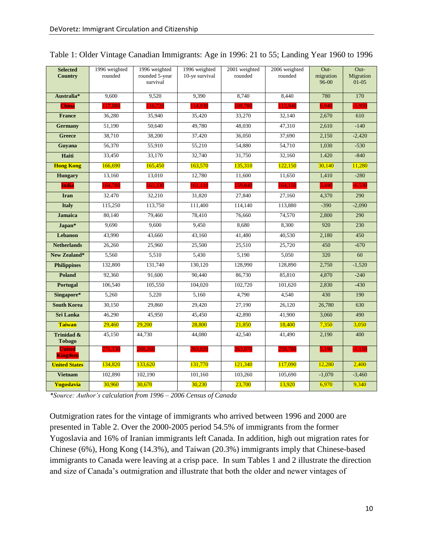| <b>Selected</b><br><b>Country</b>      | 1996 weighted<br>rounded | 1996 weighted<br>rounded 5-year | 1996 weighted<br>10-ye survival | 2001 weighted<br>rounded | $2006$ weighted<br>rounded | Out-<br>migration | Out-<br>Migration |
|----------------------------------------|--------------------------|---------------------------------|---------------------------------|--------------------------|----------------------------|-------------------|-------------------|
|                                        |                          | survival                        |                                 |                          |                            | 96-00             | $01 - 05$         |
| Australia*                             | 9,600                    | 9,520                           | 9,390                           | 8,740                    | 8,440                      | 780               | 170               |
| <b>China</b>                           | 117,880                  | 116,720                         | 114,930                         | 109,780                  | 113,940                    | 6,940             | $-5,950$          |
| <b>France</b>                          | 36,280                   | 35,940                          | 35,420                          | 33,270                   | 32,140                     | 2,670             | 610               |
| <b>Germany</b>                         | 51,190                   | 50.640                          | 49,780                          | 48,030                   | 47,310                     | 2,610             | $-140$            |
| <b>Greece</b>                          | 38,710                   | 38,200                          | 37,420                          | 36,050                   | 37,690                     | 2,150             | $-2,420$          |
| Guyana                                 | 56,370                   | 55,910                          | 55,210                          | 54,880                   | 54,710                     | 1,030             | $-530$            |
| Haiti                                  | 33,450                   | 33,170                          | 32,740                          | 31,750                   | 32,160                     | 1.420             | $-840$            |
| <b>Hong Kong</b>                       | 166,690                  | 165,450                         | 163,570                         | 135,310                  | 122,150                    | 30,140            | 11,280            |
| <b>Hungary</b>                         | 13,160                   | 13,010                          | 12,780                          | 11,600                   | 11,650                     | 1,410             | $-280$            |
| <b>India</b>                           | 164,780                  | 163,330                         | 161,110                         | 159,840                  | 164,150                    | 3,490             | $-6,530$          |
| <b>Iran</b>                            | 32.470                   | 32,210                          | 31,820                          | 27,840                   | 27,160                     | 4,370             | 290               |
| <b>Italy</b>                           | 115,250                  | 113,750                         | 111,400                         | 114,140                  | 113,880                    | $-390$            | $-2,090$          |
| <b>Jamaica</b>                         | 80,140                   | 79,460                          | 78,410                          | 76,660                   | 74,570                     | 2,800             | 290               |
| Japan*                                 | 9.690                    | 9.600                           | 9,450                           | 8.680                    | 8,300                      | 920               | 230               |
| <b>Lebanon</b>                         | 43,990                   | 43,660                          | 43,160                          | 41,480                   | 40,530                     | 2,180             | 450               |
| <b>Netherlands</b>                     | 26,260                   | 25,960                          | 25,500                          | 25,510                   | 25,720                     | 450               | $-670$            |
| New Zealand*                           | 5,560                    | 5,510                           | 5,430                           | 5,190                    | 5,050                      | 320               | 60                |
| <b>Philippines</b>                     | 132,800                  | 131,740                         | 130,120                         | 128,990                  | 128,890                    | 2,750             | $-1,520$          |
| Poland                                 | 92,360                   | 91,600                          | 90,440                          | 86,730                   | 85,810                     | 4,870             | $-240$            |
| Portugal                               | 106,540                  | 105,550                         | 104,020                         | 102,720                  | 101,620                    | 2,830             | $-430$            |
| Singapore*                             | 5,260                    | 5,220                           | 5,160                           | 4.790                    | 4,540                      | 430               | 190               |
| <b>South Korea</b>                     | 30,150                   | 29,860                          | 29,420                          | 27,190                   | 26,120                     | 26,780            | 630               |
| <b>Sri Lanka</b>                       | 46,290                   | 45,950                          | 45,450                          | 42,890                   | 41,900                     | 3,060             | 490               |
| <b>Taiwan</b>                          | 29,460                   | 29,200                          | 28,800                          | 21,850                   | 18,400                     | 7,350             | 3,050             |
| <b>Trinidad &amp;</b><br><b>Tobago</b> | 45,150                   | 44,730                          | 44,080                          | 42,540                   | 41,490                     | 2,190             | 400               |
| <b>United</b><br><b>Kingdom</b>        | 271,130                  | 268,260                         | 263,820                         | 263,070                  | 259,780                    | 5,190             | $-1,150$          |
| <b>United States</b>                   | 134,820                  | 133,620                         | 131,770                         | 121,340                  | 117,090                    | 12,280            | 2,400             |
| <b>Vietnam</b>                         | 102,890                  | 102,190                         | 101,160                         | 103,260                  | 105,690                    | $-1,070$          | $-3,460$          |
| Yugoslavia                             | 30,960                   | 30,670                          | 30,230                          | 23,700                   | 13,920                     | 6,970             | 9,340             |

*\*Source: Author's calculation from 1996 – 2006 Census of Canada*

Outmigration rates for the vintage of immigrants who arrived between 1996 and 2000 are presented in Table 2. Over the 2000-2005 period 54.5% of immigrants from the former Yugoslavia and 16% of Iranian immigrants left Canada. In addition, high out migration rates for Chinese (6%), Hong Kong (14.3%), and Taiwan (20.3%) immigrants imply that Chinese-based immigrants to Canada were leaving at a crisp pace. In sum Tables 1 and 2 illustrate the direction and size of Canada"s outmigration and illustrate that both the older and newer vintages of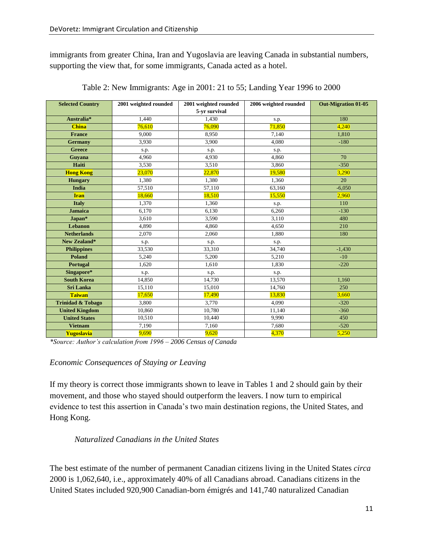immigrants from greater China, Iran and Yugoslavia are leaving Canada in substantial numbers, supporting the view that, for some immigrants, Canada acted as a hotel.

| <b>Selected Country</b>      | 2001 weighted rounded | 2001 weighted rounded<br>5-yr survival | 2006 weighted rounded | <b>Out-Migration 01-05</b> |  |
|------------------------------|-----------------------|----------------------------------------|-----------------------|----------------------------|--|
| Australia*                   | 1,440                 | 1.430                                  |                       | 180                        |  |
| <b>China</b>                 | 76,610                | 76,090                                 | s.p.<br>71,850        |                            |  |
|                              |                       |                                        |                       | 4,240                      |  |
| <b>France</b>                | 9.000                 | 8,950                                  | 7,140                 | 1,810                      |  |
| <b>Germany</b>               | 3,930                 | 3.900                                  | 4.080                 | $-180$                     |  |
| <b>Greece</b>                | s.p.                  | s.p.                                   | s.p.                  |                            |  |
| Guyana                       | 4.960                 | 4.930                                  | 4.860                 | 70                         |  |
| Haiti                        | 3,530                 | 3,510                                  | 3,860                 | $-350$                     |  |
| <b>Hong Kong</b>             | 23,070                | 22,870                                 | 19,580                | 3,290                      |  |
| <b>Hungary</b>               | 1,380                 | 1,380                                  | 1,360                 | 20                         |  |
| <b>India</b>                 | 57,510                | 57,110                                 | 63,160                | $-6,050$                   |  |
| <b>Iran</b>                  | 18,660                | 18,510                                 | 15,550                | 2,960                      |  |
| <b>Italy</b>                 | 1,370                 | 1,360                                  | s.p.                  | 110                        |  |
| <b>Jamaica</b>               | 6,170                 | 6,130                                  | 6,260                 | $-130$                     |  |
| Japan*                       | 3,610                 | 3,590                                  | 3,110                 | 480                        |  |
| <b>Lebanon</b>               | 4,890                 | 4,860                                  | 4,650                 | 210                        |  |
| <b>Netherlands</b>           | 2.070                 | 2,060                                  | 1.880                 | 180                        |  |
| <b>New Zealand*</b>          | s.p.                  | s.p.                                   | s.p.                  |                            |  |
| <b>Philippines</b>           | 33,530                | 33,310                                 | 34.740                | $-1,430$                   |  |
| <b>Poland</b>                | 5,240                 | 5,200                                  | 5,210                 | $-10$                      |  |
| <b>Portugal</b>              | 1.620                 | 1,610                                  | 1,830                 | $-220$                     |  |
| Singapore*                   | s.p.                  | s.p.                                   | s.p.                  |                            |  |
| <b>South Korea</b>           | 14,850                | 14,730                                 | 13,570                | 1,160                      |  |
| <b>Sri Lanka</b>             | 15,110                | 15,010                                 | 14,760                | 250                        |  |
| <b>Taiwan</b>                | 17,650                | 17,490                                 | 13,830                | 3,660                      |  |
| <b>Trinidad &amp; Tobago</b> | 3,800                 | 3,770                                  | 4,090                 | $-320$                     |  |
| <b>United Kingdom</b>        | 10,860                | 10,780                                 | 11,140                | $-360$                     |  |
| <b>United States</b>         | 10,510                | 10,440                                 | 9,990                 | 450                        |  |
| <b>Vietnam</b>               | 7.190                 | 7,160                                  | 7,680                 | $-520$                     |  |
| Yugoslavia                   | 9.690                 | 9.620                                  | 4.370                 | 5.250                      |  |

Table 2: New Immigrants: Age in 2001: 21 to 55; Landing Year 1996 to 2000

*\*Source: Author's calculation from 1996 – 2006 Census of Canada*

## *Economic Consequences of Staying or Leaving*

If my theory is correct those immigrants shown to leave in Tables 1 and 2 should gain by their movement, and those who stayed should outperform the leavers. I now turn to empirical evidence to test this assertion in Canada"s two main destination regions, the United States, and Hong Kong.

## *Naturalized Canadians in the United States*

The best estimate of the number of permanent Canadian citizens living in the United States *circa* 2000 is 1,062,640, i.e., approximately 40% of all Canadians abroad. Canadians citizens in the United States included 920,900 Canadian-born émigrés and 141,740 naturalized Canadian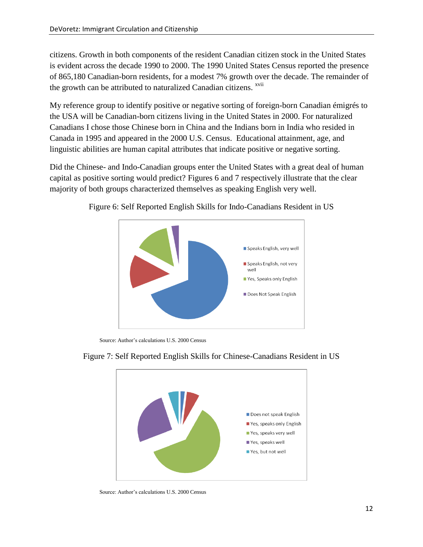citizens. Growth in both components of the resident Canadian citizen stock in the United States is evident across the decade 1990 to 2000. The 1990 United States Census reported the presence of 865,180 Canadian-born residents, for a modest 7% growth over the decade. The remainder of the growth can be attributed to naturalized Canadian citizens. <sup>xvii</sup>

My reference group to identify positive or negative sorting of foreign-born Canadian émigrés to the USA will be Canadian-born citizens living in the United States in 2000. For naturalized Canadians I chose those Chinese born in China and the Indians born in India who resided in Canada in 1995 and appeared in the 2000 U.S. Census. Educational attainment, age, and linguistic abilities are human capital attributes that indicate positive or negative sorting.

Did the Chinese- and Indo-Canadian groups enter the United States with a great deal of human capital as positive sorting would predict? Figures 6 and 7 respectively illustrate that the clear majority of both groups characterized themselves as speaking English very well.



Figure 6: Self Reported English Skills for Indo-Canadians Resident in US

Source: Author's calculations U.S. 2000 Census



## Figure 7: Self Reported English Skills for Chinese-Canadians Resident in US

Source: Author"s calculations U.S. 2000 Census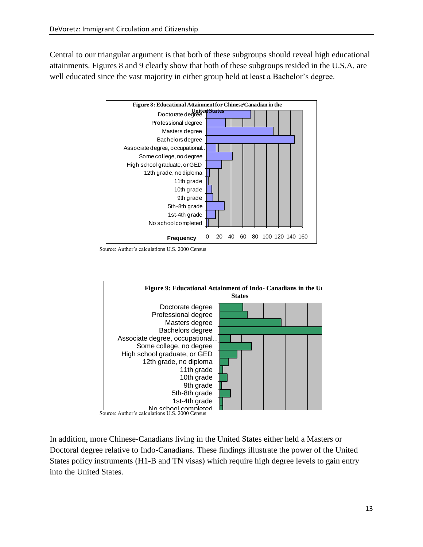Central to our triangular argument is that both of these subgroups should reveal high educational attainments. Figures 8 and 9 clearly show that both of these subgroups resided in the U.S.A. are well educated since the vast majority in either group held at least a Bachelor's degree.



Source: Author"s calculations U.S. 2000 Census



In addition, more Chinese-Canadians living in the United States either held a Masters or Doctoral degree relative to Indo-Canadians. These findings illustrate the power of the United States policy instruments (H1-B and TN visas) which require high degree levels to gain entry into the United States.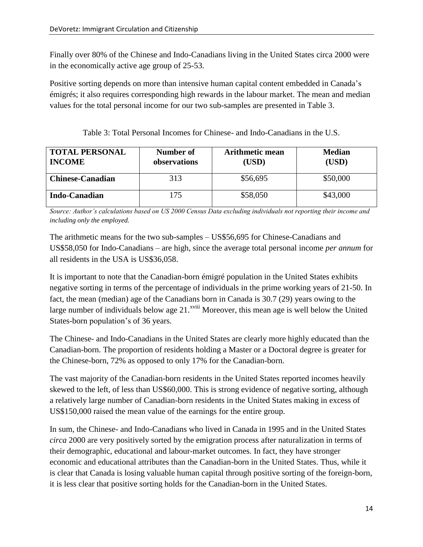Finally over 80% of the Chinese and Indo-Canadians living in the United States circa 2000 were in the economically active age group of 25-53.

Positive sorting depends on more than intensive human capital content embedded in Canada"s émigrés; it also requires corresponding high rewards in the labour market. The mean and median values for the total personal income for our two sub-samples are presented in Table 3.

Table 3: Total Personal Incomes for Chinese- and Indo-Canadians in the U.S.

| <b>TOTAL PERSONAL</b><br><b>INCOME</b> | Number of<br>observations | <b>Arithmetic mean</b><br>(USD) | <b>Median</b><br>(USD) |  |
|----------------------------------------|---------------------------|---------------------------------|------------------------|--|
| <b>Chinese-Canadian</b>                | 313                       | \$56,695                        | \$50,000               |  |
| <b>Indo-Canadian</b>                   | 175                       | \$58,050                        | \$43,000               |  |

*Source: Author's calculations based on US 2000 Census Data excluding individuals not reporting their income and including only the employed.*

The arithmetic means for the two sub-samples – US\$56,695 for Chinese-Canadians and US\$58,050 for Indo-Canadians – are high, since the average total personal income *per annum* for all residents in the USA is US\$36,058.

It is important to note that the Canadian-born émigré population in the United States exhibits negative sorting in terms of the percentage of individuals in the prime working years of 21-50. In fact, the mean (median) age of the Canadians born in Canada is 30.7 (29) years owing to the large number of individuals below age  $21.^{x}$ <sup>xviii</sup> Moreover, this mean age is well below the United States-born population"s of 36 years.

The Chinese- and Indo-Canadians in the United States are clearly more highly educated than the Canadian-born. The proportion of residents holding a Master or a Doctoral degree is greater for the Chinese-born, 72% as opposed to only 17% for the Canadian-born.

The vast majority of the Canadian-born residents in the United States reported incomes heavily skewed to the left, of less than US\$60,000. This is strong evidence of negative sorting, although a relatively large number of Canadian-born residents in the United States making in excess of US\$150,000 raised the mean value of the earnings for the entire group.

In sum, the Chinese- and Indo-Canadians who lived in Canada in 1995 and in the United States *circa* 2000 are very positively sorted by the emigration process after naturalization in terms of their demographic, educational and labour-market outcomes. In fact, they have stronger economic and educational attributes than the Canadian-born in the United States. Thus, while it is clear that Canada is losing valuable human capital through positive sorting of the foreign-born, it is less clear that positive sorting holds for the Canadian-born in the United States.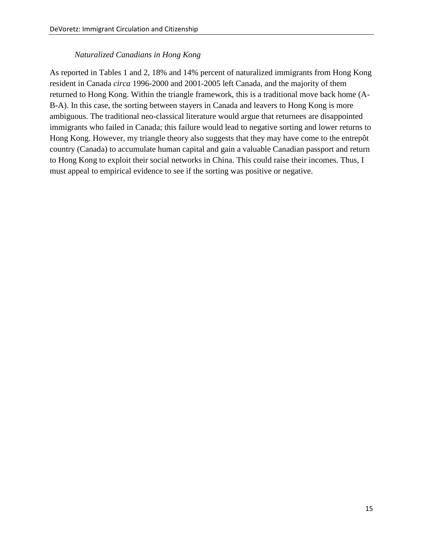## *Naturalized Canadians in Hong Kong*

As reported in Tables 1 and 2, 18% and 14% percent of naturalized immigrants from Hong Kong resident in Canada *circa* 1996-2000 and 2001-2005 left Canada, and the majority of them returned to Hong Kong. Within the triangle framework, this is a traditional move back home (A-B-A). In this case, the sorting between stayers in Canada and leavers to Hong Kong is more ambiguous. The traditional neo-classical literature would argue that returnees are disappointed immigrants who failed in Canada; this failure would lead to negative sorting and lower returns to Hong Kong. However, my triangle theory also suggests that they may have come to the entrep  $\hat{\alpha}$ country (Canada) to accumulate human capital and gain a valuable Canadian passport and return to Hong Kong to exploit their social networks in China. This could raise their incomes. Thus, I must appeal to empirical evidence to see if the sorting was positive or negative.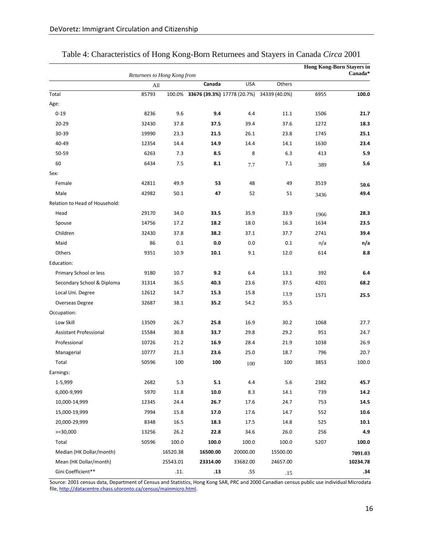|                                | Returnees to Hong Kong from |          |          |            |                                                  |      | <b>Hong Kong-Born Stayers in</b><br>Canada* |
|--------------------------------|-----------------------------|----------|----------|------------|--------------------------------------------------|------|---------------------------------------------|
|                                | All                         |          | Canada   | <b>USA</b> | Others                                           |      |                                             |
| Total                          | 85793                       |          |          |            | 100.0% 33676 (39.3%) 17778 (20.7%) 34339 (40.0%) | 6955 | 100.0                                       |
| Age:                           |                             |          |          |            |                                                  |      |                                             |
| $0 - 19$                       | 8236                        | 9.6      | 9.4      | 4.4        | 11.1                                             | 1506 | 21.7                                        |
| 20-29                          | 32430                       | 37.8     | 37.5     | 39.4       | 37.6                                             | 1272 | 18.3                                        |
| 30-39                          | 19990                       | 23.3     | 21.5     | 26.1       | 23.8                                             | 1745 | 25.1                                        |
| 40-49                          | 12354                       | 14.4     | 14.9     | 14.4       | 14.1                                             | 1630 | 23.4                                        |
| 50-59                          | 6263                        | 7.3      | 8.5      | 8          | 6.3                                              | 413  | 5.9                                         |
| 60                             | 6434                        | 7.5      | 8.1      | 7.7        | 7.1                                              | 389  | 5.6                                         |
| Sex:                           |                             |          |          |            |                                                  |      |                                             |
| Female                         | 42811                       | 49.9     | 53       | 48         | 49                                               | 3519 | 50.6                                        |
| Male                           | 42982                       | 50.1     | 47       | 52         | 51                                               | 3436 | 49.4                                        |
| Relation to Head of Household: |                             |          |          |            |                                                  |      |                                             |
| Head                           | 29170                       | 34.0     | 33.5     | 35.9       | 33.9                                             | 1966 | 28.3                                        |
| Spouse                         | 14756                       | 17.2     | 18.2     | 18.0       | 16.3                                             | 1634 | 23.5                                        |
| Children                       | 32430                       | 37.8     | 38.2     | 37.1       | 37.7                                             | 2741 | 39.4                                        |
| Maid                           | 86                          | 0.1      | 0.0      | 0.0        | 0.1                                              | n/a  | n/a                                         |
| Others                         | 9351                        | 10.9     | 10.1     | 9.1        | 12.0                                             | 614  | 8.8                                         |
| Education:                     |                             |          |          |            |                                                  |      |                                             |
| Primary School or less         | 9180                        | 10.7     | 9.2      | 6.4        | 13.1                                             | 392  | 6.4                                         |
| Secondary School & Diploma     | 31314                       | 36.5     | 40.3     | 23.6       | 37.5                                             | 4201 | 68.2                                        |
| Local Uni. Degree              | 12612                       | 14.7     | 15.3     | 15.8       | 13.9                                             | 1571 | 25.5                                        |
| Overseas Degree                | 32687                       | 38.1     | 35.2     | 54.2       | 35.5                                             |      |                                             |
| Occupation:                    |                             |          |          |            |                                                  |      |                                             |
| Low Skill                      | 13509                       | 26.7     | 25.8     | 16.9       | 30.2                                             | 1068 | 27.7                                        |
| <b>Assistant Professional</b>  | 15584                       | 30.8     | 33.7     | 29.8       | 29.2                                             | 951  | 24.7                                        |
| Professional                   | 10726                       | 21.2     | 16.9     | 28.4       | 21.9                                             | 1038 | 26.9                                        |
| Managerial                     | 10777                       | 21.3     | 23.6     | 25.0       | 18.7                                             | 796  | 20.7                                        |
| Total                          | 50596                       | 100      | 100      | 100        | 100                                              | 3853 | 100.0                                       |
| Earnings:                      |                             |          |          |            |                                                  |      |                                             |
| 1-5,999                        | 2682                        | 5.3      | 5.1      | 4.4        | 5.6                                              | 2382 | 45.7                                        |
| 6,000-9,999                    | 5970                        | 11.8     | 10.0     | 8.3        | 14.1                                             | 739  | 14.2                                        |
| 10,000-14,999                  | 12345                       | 24.4     | 26.7     | 17.6       | 24.7                                             | 753  | 14.5                                        |
| 15,000-19,999                  | 7994                        | 15.8     | 17.0     | 17.6       | 14.7                                             | 552  | 10.6                                        |
| 20,000-29,999                  | 8348                        | 16.5     | 18.3     | 17.5       | 14.8                                             | 525  | 10.1                                        |
| $>=$ 30,000                    | 13256                       | 26.2     | 22.8     | 34.6       | 26.0                                             | 256  | 4.9                                         |
| Total                          | 50596                       | 100.0    | 100.0    | 100.0      | 100.0                                            | 5207 | 100.0                                       |
| Median (HK Dollar/month)       |                             | 16520.38 | 16500.00 | 20000.00   | 15500.00                                         |      | 7091.03                                     |
| Mean (HK Dollar/month)         |                             | 25543.01 | 23314.00 | 33682.00   | 24657.00                                         |      | 10234.78                                    |
| Gini Coefficient**             |                             | .11.     | .13      | .55        | .15                                              |      | .34                                         |

## Table 4: Characteristics of Hong Kong-Born Returnees and Stayers in Canada *Circa* 2001

Source: 2001 census data, Department of Census and Statistics, Hong Kong SAR, PRC and 2000 Canadian census public use individual Microdata file, [http://datacentre.chass.utoronto.ca/census/mainmicro.html.](http://datacentre.chass.utoronto.ca/census/mainmicro.html)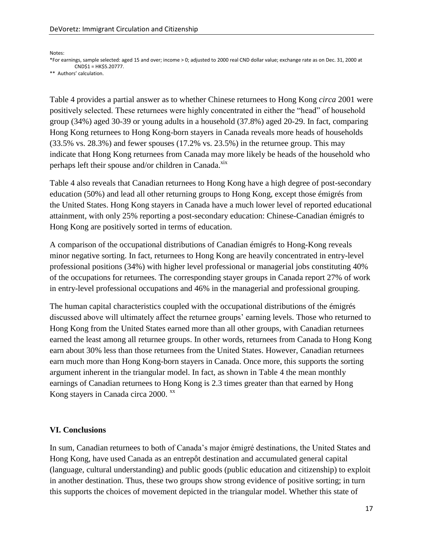Notes:

\*For earnings, sample selected: aged 15 and over; income > 0; adjusted to 2000 real CND dollar value; exchange rate as on Dec. 31, 2000 at CND\$1 = HK\$5.20777.

\*\* Authors' calculation.

Table 4 provides a partial answer as to whether Chinese returnees to Hong Kong *circa* 2001 were positively selected. These returnees were highly concentrated in either the "head" of household group (34%) aged 30-39 or young adults in a household (37.8%) aged 20-29. In fact, comparing Hong Kong returnees to Hong Kong-born stayers in Canada reveals more heads of households (33.5% vs. 28.3%) and fewer spouses (17.2% vs. 23.5%) in the returnee group. This may indicate that Hong Kong returnees from Canada may more likely be heads of the household who perhaps left their spouse and/or children in Canada. $x$ <sup>xix</sup>

Table 4 also reveals that Canadian returnees to Hong Kong have a high degree of post-secondary education (50%) and lead all other returning groups to Hong Kong, except those émigrés from the United States. Hong Kong stayers in Canada have a much lower level of reported educational attainment, with only 25% reporting a post-secondary education: Chinese-Canadian émigrés to Hong Kong are positively sorted in terms of education.

A comparison of the occupational distributions of Canadian émigrés to Hong-Kong reveals minor negative sorting. In fact, returnees to Hong Kong are heavily concentrated in entry-level professional positions (34%) with higher level professional or managerial jobs constituting 40% of the occupations for returnees. The corresponding stayer groups in Canada report 27% of work in entry-level professional occupations and 46% in the managerial and professional grouping.

The human capital characteristics coupled with the occupational distributions of the émigrés discussed above will ultimately affect the returnee groups" earning levels. Those who returned to Hong Kong from the United States earned more than all other groups, with Canadian returnees earned the least among all returnee groups. In other words, returnees from Canada to Hong Kong earn about 30% less than those returnees from the United States. However, Canadian returnees earn much more than Hong Kong-born stayers in Canada. Once more, this supports the sorting argument inherent in the triangular model. In fact, as shown in Table 4 the mean monthly earnings of Canadian returnees to Hong Kong is 2.3 times greater than that earned by Hong Kong stayers in Canada circa 2000. xx

## **VI. Conclusions**

In sum, Canadian returnees to both of Canada"s major émigré destinations, the United States and Hong Kong, have used Canada as an entrep  $\hat{\alpha}$  destination and accumulated general capital (language, cultural understanding) and public goods (public education and citizenship) to exploit in another destination. Thus, these two groups show strong evidence of positive sorting; in turn this supports the choices of movement depicted in the triangular model. Whether this state of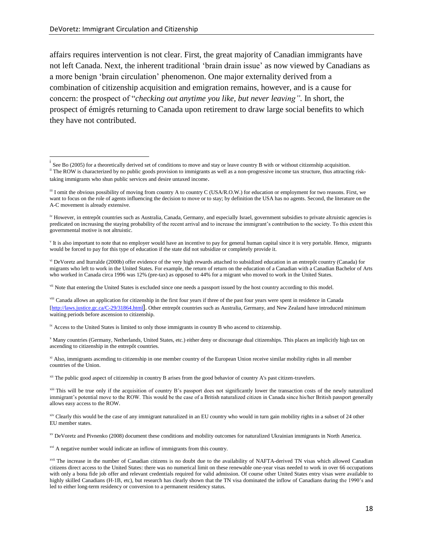$\overline{\phantom{a}}$ 

affairs requires intervention is not clear. First, the great majority of Canadian immigrants have not left Canada. Next, the inherent traditional "brain drain issue" as now viewed by Canadians as a more benign "brain circulation" phenomenon. One major externality derived from a combination of citizenship acquisition and emigration remains, however, and is a cause for concern: the prospect of "*checking out anytime you like, but never leaving".* In short, the prospect of émigrés returning to Canada upon retirement to draw large social benefits to which they have not contributed.

vii Note that entering the United States is excluded since one needs a passport issued by the host country according to this model.

viii Canada allows an application for citizenship in the first four years if three of the past four years were spent in residence in Canada [\[http://laws.justice.gc.ca/C-29/31864.html](http://laws.justice.gc.ca/C-29/3)]. Other entrepôt countries such as Australia, Germany, and New Zealand have introduced minimum waiting periods before ascension to citizenship.

<sup>ix</sup> Access to the United States is limited to only those immigrants in country B who ascend to citizenship.

<sup>x</sup> Many countries (Germany, Netherlands, United States, etc.) either deny or discourage dual citizenships. This places an implicitly high tax on ascending to citizenship in the entrep  $\hat{\alpha}$  countries.

<sup>xi</sup> Also, immigrants ascending to citizenship in one member country of the European Union receive similar mobility rights in all member countries of the Union.

<sup>xii</sup> The public good aspect of citizenship in country B arises from the good behavior of country A's past citizen-travelers.

 $x^2$  Clearly this would be the case of any immigrant naturalized in an EU country who would in turn gain mobility rights in a subset of 24 other EU member states.

xv DeVoretz and Pivnenko (2008) document these conditions and mobility outcomes for naturalized Ukrainian immigrants in North America.

<sup>xvi</sup> A negative number would indicate an inflow of immigrants from this country.

i See Bo (2005) for a theoretically derived set of conditions to move and stay or leave country B with or without citizenship acquisition. <sup>ii</sup> The ROW is characterized by no public goods provision to immigrants as well as a non-progressive income tax structure, thus attracting risktaking immigrants who shun public services and desire untaxed income.

iii I omit the obvious possibility of moving from country A to country C (USA/R.O.W.) for education or employment for two reasons. First, we want to focus on the role of agents influencing the decision to move or to stay; by definition the USA has no agents. Second, the literature on the A-C movement is already extensive.

<sup>&</sup>lt;sup>iv</sup> However, in entrepôt countries such as Australia, Canada, Germany, and especially Israel, government subsidies to private altruistic agencies is predicated on increasing the staying probability of the recent arrival and to increase the immigrant"s contribution to the society. To this extent this governmental motive is not altruistic.

 $\rm v$  It is also important to note that no employer would have an incentive to pay for general human capital since it is very portable. Hence, migrants would be forced to pay for this type of education if the state did not subsidize or completely provide it.

vi DeVoretz and Iturralde (2000b) offer evidence of the very high rewards attached to subsidized education in an entrep  $\hat{\alpha}$  country (Canada) for migrants who left to work in the United States. For example, the return of return on the education of a Canadian with a Canadian Bachelor of Arts who worked in Canada circa 1996 was 12% (pre-tax) as opposed to 44% for a migrant who moved to work in the United States.

<sup>&</sup>lt;sup>xiii</sup> This will be true only if the acquisition of country B's passport does not significantly lower the transaction costs of the newly naturalized immigrant's potential move to the ROW. This would be the case of a British naturalized citizen in Canada since his/her British passport generally allows easy access to the ROW.

<sup>&</sup>lt;sup>xvii</sup> The increase in the number of Canadian citizens is no doubt due to the availability of NAFTA-derived TN visas which allowed Canadian citizens direct access to the United States: there was no numerical limit on these renewable one-year visas needed to work in over 66 occupations with only a bona fide job offer and relevant credentials required for valid admission. Of course other United States entry visas were available to highly skilled Canadians (H-1B, etc), but research has clearly shown that the TN visa dominated the inflow of Canadians during the 1990's and led to either long-term residency or conversion to a permanent residency status.